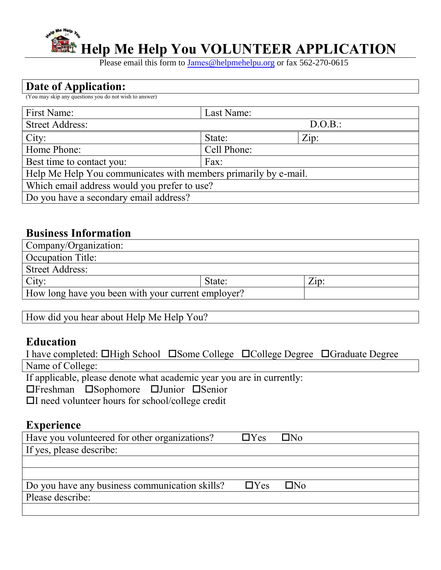

Please email this form to James[@helpmehelpu](mailto:info@helpmehelpu.org).org or fax 562-270-0615

# **Date of Application:**

(You may skip any questions you do not wish to answer)

| First Name:                                                     | Last Name:  |         |
|-----------------------------------------------------------------|-------------|---------|
| <b>Street Address:</b>                                          |             | D.O.B.: |
| City:                                                           | State:      | Zip:    |
| Home Phone:                                                     | Cell Phone: |         |
| Best time to contact you:                                       | Fax:        |         |
| Help Me Help You communicates with members primarily by e-mail. |             |         |
| Which email address would you prefer to use?                    |             |         |
| Do you have a secondary email address?                          |             |         |

## **Business Information**

| Company/Organization:                              |        |              |
|----------------------------------------------------|--------|--------------|
| Occupation Title:                                  |        |              |
| Street Address:                                    |        |              |
| City:                                              | State: | $\angle$ ip: |
| How long have you been with your current employer? |        |              |

How did you hear about Help Me Help You?

## **Education**

|                  |                                                              |  |                                                                       | I have completed: □High School □ Some College □ College Degree □ Graduate Degree |
|------------------|--------------------------------------------------------------|--|-----------------------------------------------------------------------|----------------------------------------------------------------------------------|
| Name of College: |                                                              |  |                                                                       |                                                                                  |
|                  |                                                              |  | If applicable, please denote what academic year you are in currently: |                                                                                  |
|                  | $\Box$ Freshman $\Box$ Sophomore $\Box$ Junior $\Box$ Senior |  |                                                                       |                                                                                  |

I need volunteer hours for school/college credit

# **Experience**

| Have you volunteered for other organizations?                       | $\Box$ Yes $\Box$ No |  |
|---------------------------------------------------------------------|----------------------|--|
| If yes, please describe:                                            |                      |  |
|                                                                     |                      |  |
|                                                                     |                      |  |
| Do you have any business communication skills? $\Box$ Yes $\Box$ No |                      |  |
| Please describe:                                                    |                      |  |
|                                                                     |                      |  |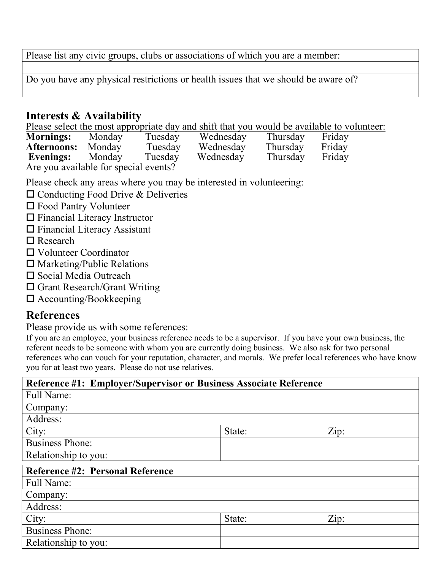Please list any civic groups, clubs or associations of which you are a member:

Do you have any physical restrictions or health issues that we should be aware of?

#### **Interests & Availability**

Please select the most appropriate day and shift that you would be available to volunteer:

| <b>Mornings:</b>                      | Monday | Tuesday | Wednesday | Thursday | Friday |
|---------------------------------------|--------|---------|-----------|----------|--------|
| <b>Afternoons:</b> Monday             |        | Tuesday | Wednesday | Thursday | Friday |
| Evenings:                             | Monday | Tuesday | Wednesday | Thursday | Friday |
| Are you available for special events? |        |         |           |          |        |

Please check any areas where you may be interested in volunteering:

- $\square$  Conducting Food Drive & Deliveries
- Food Pantry Volunteer
- $\Box$  Financial Literacy Instructor
- Financial Literacy Assistant
- □ Research
- Volunteer Coordinator
- $\square$  Marketing/Public Relations
- □ Social Media Outreach
- □ Grant Research/Grant Writing
- □ Accounting/Bookkeeping

### **References**

Please provide us with some references:

If you are an employee, your business reference needs to be a supervisor. If you have your own business, the referent needs to be someone with whom you are currently doing business. We also ask for two personal references who can vouch for your reputation, character, and morals. We prefer local references who have know you for at least two years. Please do not use relatives.

| Reference #1: Employer/Supervisor or Business Associate Reference |        |      |
|-------------------------------------------------------------------|--------|------|
| <b>Full Name:</b>                                                 |        |      |
| Company:                                                          |        |      |
| Address:                                                          |        |      |
| City:                                                             | State: | Zip: |
| <b>Business Phone:</b>                                            |        |      |
| Relationship to you:                                              |        |      |
| <b>Reference #2: Personal Reference</b>                           |        |      |
| Full Name:                                                        |        |      |
| Company:                                                          |        |      |
| Address:                                                          |        |      |
| City:                                                             | State: | Zip: |
| <b>Business Phone:</b>                                            |        |      |
| Relationship to you:                                              |        |      |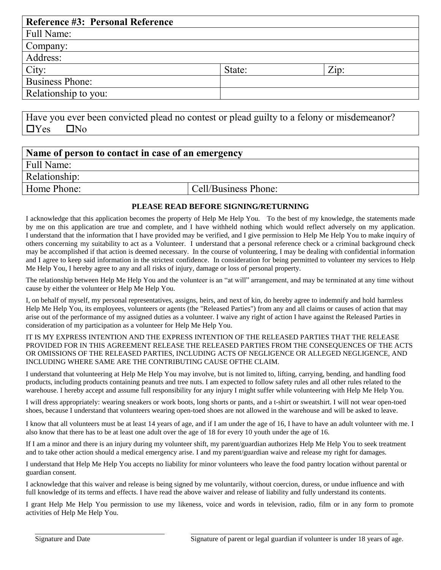| <b>Reference #3: Personal Reference</b> |        |      |
|-----------------------------------------|--------|------|
| Full Name:                              |        |      |
| Company:                                |        |      |
| Address:                                |        |      |
| City:                                   | State: | Zip: |
| <b>Business Phone:</b>                  |        |      |
| Relationship to you:                    |        |      |

Have you ever been convicted plead no contest or plead guilty to a felony or misdemeanor?  $\Box$ Yes  $\Box$ No

| Name of person to contact in case of an emergency |                      |  |
|---------------------------------------------------|----------------------|--|
| Full Name:                                        |                      |  |
| Relationship:                                     |                      |  |
| Home Phone:                                       | Cell/Business Phone: |  |

#### **PLEASE READ BEFORE SIGNING/RETURNING**

I acknowledge that this application becomes the property of Help Me Help You. To the best of my knowledge, the statements made by me on this application are true and complete, and I have withheld nothing which would reflect adversely on my application. I understand that the information that I have provided may be verified, and I give permission to Help Me Help You to make inquiry of others concerning my suitability to act as a Volunteer. I understand that a personal reference check or a criminal background check may be accomplished if that action is deemed necessary. In the course of volunteering, I may be dealing with confidential information and I agree to keep said information in the strictest confidence. In consideration for being permitted to volunteer my services to Help Me Help You, I hereby agree to any and all risks of injury, damage or loss of personal property.

The relationship between Help Me Help You and the volunteer is an "at will" arrangement, and may be terminated at any time without cause by either the volunteer or Help Me Help You.

I, on behalf of myself, my personal representatives, assigns, heirs, and next of kin, do hereby agree to indemnify and hold harmless Help Me Help You, its employees, volunteers or agents (the "Released Parties") from any and all claims or causes of action that may arise out of the performance of my assigned duties as a volunteer. I waive any right of action I have against the Released Parties in consideration of my participation as a volunteer for Help Me Help You.

IT IS MY EXPRESS INTENTION AND THE EXPRESS INTENTION OF THE RELEASED PARTIES THAT THE RELEASE PROVIDED FOR IN THIS AGREEMENT RELEASE THE RELEASED PARTIES FROM THE CONSEQUENCES OF THE ACTS OR OMISSIONS OF THE RELEASED PARTIES, INCLUDING ACTS OF NEGLIGENCE OR ALLEGED NEGLIGENCE, AND INCLUDING WHERE SAME ARE THE CONTRIBUTING CAUSE OFTHE CLAIM.

I understand that volunteering at Help Me Help You may involve, but is not limited to, lifting, carrying, bending, and handling food products, including products containing peanuts and tree nuts. I am expected to follow safety rules and all other rules related to the warehouse. I hereby accept and assume full responsibility for any injury I might suffer while volunteering with Help Me Help You.

I will dress appropriately: wearing sneakers or work boots, long shorts or pants, and a t-shirt or sweatshirt. I will not wear open-toed shoes, because I understand that volunteers wearing open-toed shoes are not allowed in the warehouse and will be asked to leave.

I know that all volunteers must be at least 14 years of age, and if I am under the age of 16, I have to have an adult volunteer with me. I also know that there has to be at least one adult over the age of 18 for every 10 youth under the age of 16.

If I am a minor and there is an injury during my volunteer shift, my parent/guardian authorizes Help Me Help You to seek treatment and to take other action should a medical emergency arise. I and my parent/guardian waive and release my right for damages.

I understand that Help Me Help You accepts no liability for minor volunteers who leave the food pantry location without parental or guardian consent.

I acknowledge that this waiver and release is being signed by me voluntarily, without coercion, duress, or undue influence and with full knowledge of its terms and effects. I have read the above waiver and release of liability and fully understand its contents.

I grant Help Me Help You permission to use my likeness, voice and words in television, radio, film or in any form to promote activities of Help Me Help You.